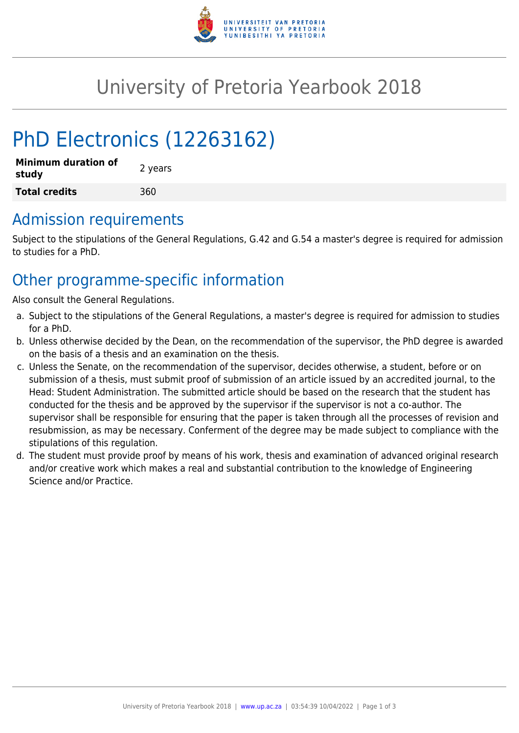

# University of Pretoria Yearbook 2018

# PhD Electronics (12263162)

| <b>Minimum duration of</b><br>study | 2 years |
|-------------------------------------|---------|
| <b>Total credits</b>                | 360     |

## Admission requirements

Subject to the stipulations of the General Regulations, G.42 and G.54 a master's degree is required for admission to studies for a PhD.

## Other programme-specific information

Also consult the General Regulations.

- a. Subject to the stipulations of the General Regulations, a master's degree is required for admission to studies for a PhD.
- b. Unless otherwise decided by the Dean, on the recommendation of the supervisor, the PhD degree is awarded on the basis of a thesis and an examination on the thesis.
- c. Unless the Senate, on the recommendation of the supervisor, decides otherwise, a student, before or on submission of a thesis, must submit proof of submission of an article issued by an accredited journal, to the Head: Student Administration. The submitted article should be based on the research that the student has conducted for the thesis and be approved by the supervisor if the supervisor is not a co-author. The supervisor shall be responsible for ensuring that the paper is taken through all the processes of revision and resubmission, as may be necessary. Conferment of the degree may be made subject to compliance with the stipulations of this regulation.
- d. The student must provide proof by means of his work, thesis and examination of advanced original research and/or creative work which makes a real and substantial contribution to the knowledge of Engineering Science and/or Practice.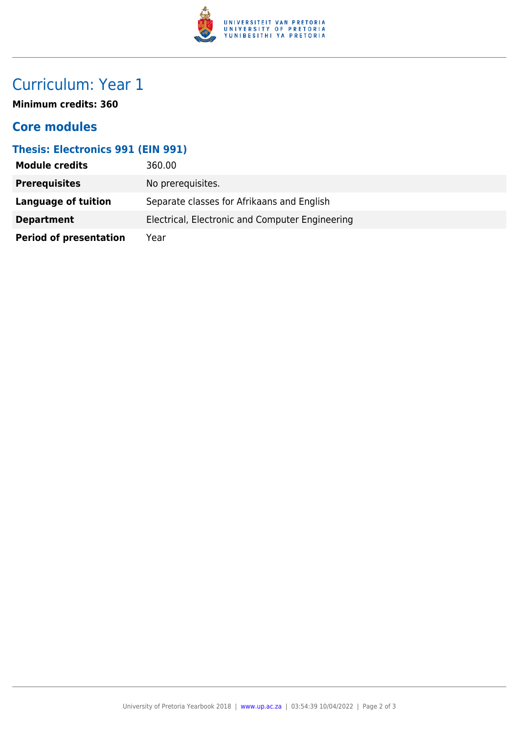

# Curriculum: Year 1

**Minimum credits: 360**

### **Core modules**

#### **Thesis: Electronics 991 (EIN 991)**

| <b>Module credits</b>         | 360.00                                          |
|-------------------------------|-------------------------------------------------|
| <b>Prerequisites</b>          | No prerequisites.                               |
| Language of tuition           | Separate classes for Afrikaans and English      |
| <b>Department</b>             | Electrical, Electronic and Computer Engineering |
| <b>Period of presentation</b> | Year                                            |